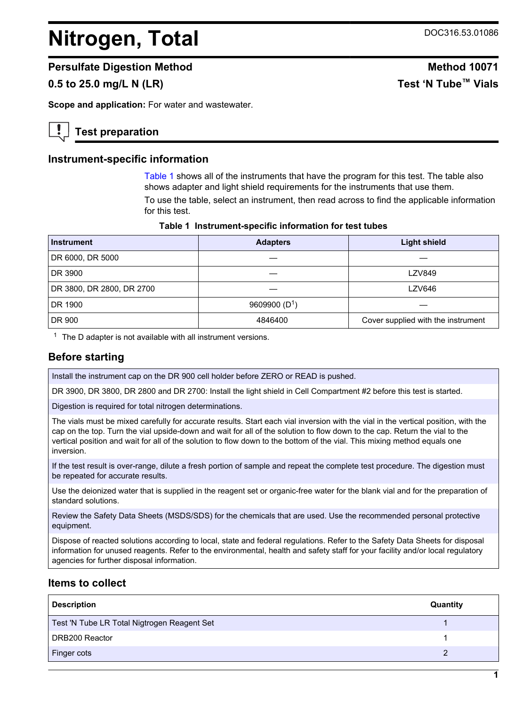# <span id="page-0-0"></span>**Nitrogen, Total** DOC316.53.01086

## **Persulfate Digestion Method Method 10071**

## **0.5 to 25.0 mg/L N (LR) Test 'N Tube™ Vials**

**Scope and application:** For water and wastewater.

## **Test preparation**

#### **Instrument-specific information**

Table 1 shows all of the instruments that have the program for this test. The table also shows adapter and light shield requirements for the instruments that use them.

To use the table, select an instrument, then read across to find the applicable information for this test.

| Table 1 Instrument-specific information for test tubes |  |  |  |  |  |  |
|--------------------------------------------------------|--|--|--|--|--|--|
|--------------------------------------------------------|--|--|--|--|--|--|

| Instrument                | <b>Adapters</b> | <b>Light shield</b>                |  |
|---------------------------|-----------------|------------------------------------|--|
| DR 6000, DR 5000          |                 |                                    |  |
| DR 3900                   |                 | <b>LZV849</b>                      |  |
| DR 3800, DR 2800, DR 2700 |                 | LZV646                             |  |
| DR 1900                   | 9609900 $(D1)$  |                                    |  |
| DR 900                    | 4846400         | Cover supplied with the instrument |  |

 $1$  The D adapter is not available with all instrument versions.

## **Before starting**

Install the instrument cap on the DR 900 cell holder before ZERO or READ is pushed.

DR 3900, DR 3800, DR 2800 and DR 2700: Install the light shield in Cell Compartment #2 before this test is started.

Digestion is required for total nitrogen determinations.

The vials must be mixed carefully for accurate results. Start each vial inversion with the vial in the vertical position, with the cap on the top. Turn the vial upside-down and wait for all of the solution to flow down to the cap. Return the vial to the vertical position and wait for all of the solution to flow down to the bottom of the vial. This mixing method equals one inversion.

If the test result is over-range, dilute a fresh portion of sample and repeat the complete test procedure. The digestion must be repeated for accurate results.

Use the deionized water that is supplied in the reagent set or organic-free water for the blank vial and for the preparation of standard solutions.

Review the Safety Data Sheets (MSDS/SDS) for the chemicals that are used. Use the recommended personal protective equipment.

Dispose of reacted solutions according to local, state and federal regulations. Refer to the Safety Data Sheets for disposal information for unused reagents. Refer to the environmental, health and safety staff for your facility and/or local regulatory agencies for further disposal information.

## **Items to collect**

| <b>Description</b>                          | Quantity |
|---------------------------------------------|----------|
| Test 'N Tube LR Total Nigtrogen Reagent Set |          |
| DRB200 Reactor                              |          |
| Finger cots                                 |          |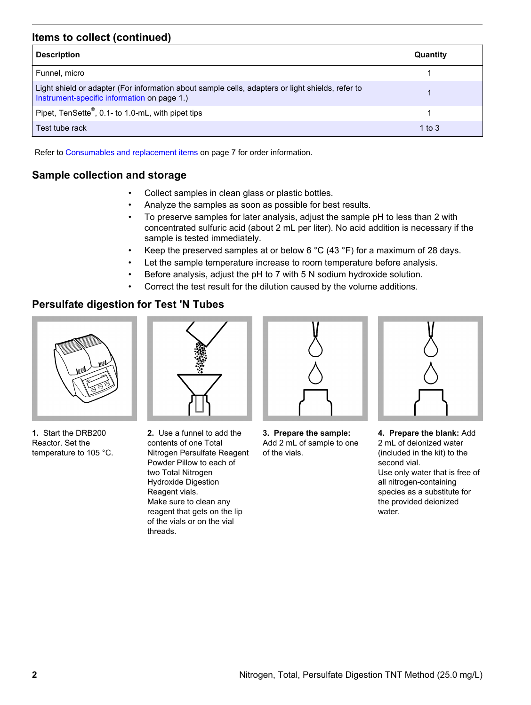## **Items to collect (continued)**

| <b>Description</b>                                                                                                                              | Quantity |
|-------------------------------------------------------------------------------------------------------------------------------------------------|----------|
| Funnel, micro                                                                                                                                   |          |
| Light shield or adapter (For information about sample cells, adapters or light shields, refer to<br>Instrument-specific information on page 1.) |          |
| Pipet, TenSette <sup>®</sup> , 0.1- to 1.0-mL, with pipet tips                                                                                  |          |
| Test tube rack                                                                                                                                  | 1 to $3$ |

Refer to [Consumables and replacement items](#page-6-0) on page 7 for order information.

## **Sample collection and storage**

- Collect samples in clean glass or plastic bottles.
- Analyze the samples as soon as possible for best results.
- To preserve samples for later analysis, adjust the sample pH to less than 2 with concentrated sulfuric acid (about 2 mL per liter). No acid addition is necessary if the sample is tested immediately.
- Keep the preserved samples at or below 6  $^{\circ}$ C (43  $^{\circ}$ F) for a maximum of 28 days.
- Let the sample temperature increase to room temperature before analysis.
- Before analysis, adjust the pH to 7 with 5 N sodium hydroxide solution.
- Correct the test result for the dilution caused by the volume additions.

## **Persulfate digestion for Test 'N Tubes**



**1.** Start the DRB200 Reactor. Set the temperature to 105 °C.



**2.** Use a funnel to add the contents of one Total Nitrogen Persulfate Reagent Powder Pillow to each of two Total Nitrogen Hydroxide Digestion Reagent vials. Make sure to clean any reagent that gets on the lip of the vials or on the vial threads.



**3. Prepare the sample:** Add 2 mL of sample to one of the vials.



**4. Prepare the blank:** Add 2 mL of deionized water (included in the kit) to the second vial. Use only water that is free of

all nitrogen-containing species as a substitute for the provided deionized water.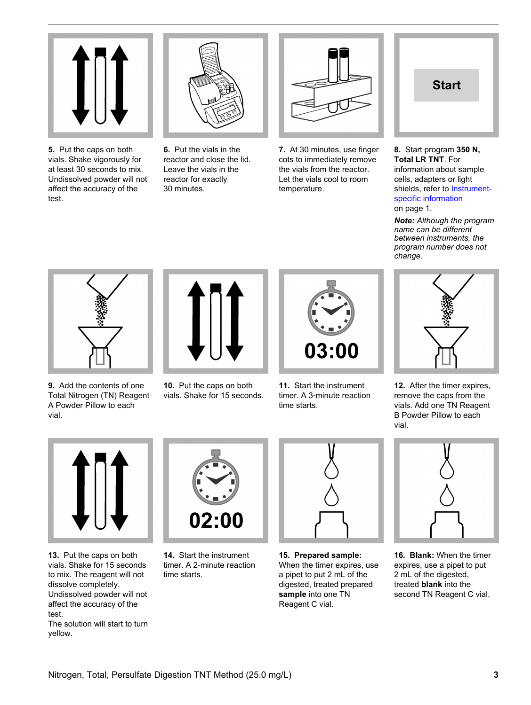

**5.** Put the caps on both vials. Shake vigorously for at least 30 seconds to mix. Undissolved powder will not affect the accuracy of the test.

**6.** Put the vials in the reactor and close the lid. Leave the vials in the reactor for exactly 30 minutes.



**7.** At 30 minutes, use finger cots to immediately remove the vials from the reactor. Let the vials cool to room temperature.



#### **8.** Start program **350 N, Total LR TNT**. For information about sample cells, adapters or light shields, refer to [Instrument](#page-0-0)[specific information](#page-0-0) on page 1.

*Note: Although the program name can be different between instruments, the program number does not change.*



**9.** Add the contents of one Total Nitrogen (TN) Reagent A Powder Pillow to each vial.



**10.** Put the caps on both vials. Shake for 15 seconds.



**11.** Start the instrument timer. A 3‑minute reaction time starts.



**12.** After the timer expires, remove the caps from the vials. Add one TN Reagent B Powder Pillow to each vial.



**13.** Put the caps on both vials. Shake for 15 seconds to mix. The reagent will not dissolve completely. Undissolved powder will not affect the accuracy of the test.

The solution will start to turn yellow.



**14.** Start the instrument timer. A 2‑minute reaction time starts.



**15. Prepared sample:** When the timer expires, use a pipet to put 2 mL of the digested, treated prepared **sample** into one TN Reagent C vial.



**16. Blank:** When the timer expires, use a pipet to put 2 mL of the digested, treated **blank** into the second TN Reagent C vial.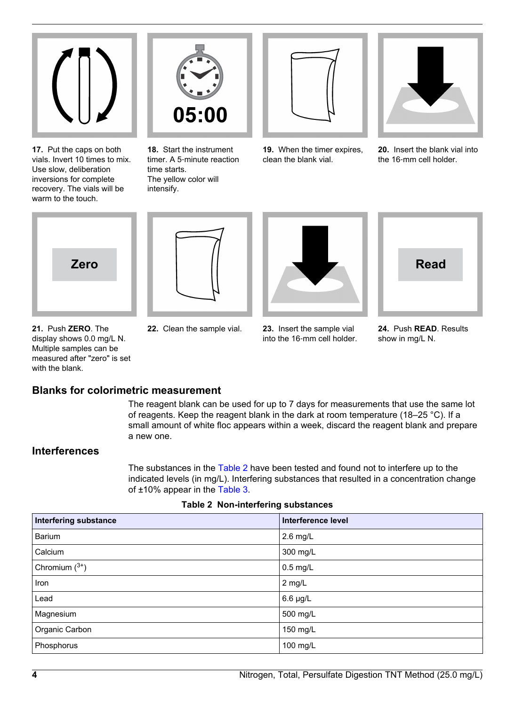

**17.** Put the caps on both vials. Invert 10 times to mix. Use slow, deliberation inversions for complete recovery. The vials will be warm to the touch.



**18.** Start the instrument timer. A 5‑minute reaction time starts. The yellow color will intensify.



**19.** When the timer expires, clean the blank vial.



**20.** Insert the blank vial into the 16‑mm cell holder.







- **21.** Push **ZERO**. The display shows 0.0 mg/L N. Multiple samples can be measured after "zero" is set with the blank.
- 
- **22.** Clean the sample vial. **23.** Insert the sample vial into the 16‑mm cell holder.

**24.** Push **READ**. Results show in mg/L N.

## **Blanks for colorimetric measurement**

The reagent blank can be used for up to 7 days for measurements that use the same lot of reagents. Keep the reagent blank in the dark at room temperature (18–25 °C). If a small amount of white floc appears within a week, discard the reagent blank and prepare a new one.

## **Interferences**

The substances in the Table 2 have been tested and found not to interfere up to the indicated levels (in mg/L). Interfering substances that resulted in a concentration change of ±10% appear in the [Table 3.](#page-4-0)

| <b>Interfering substance</b> | Interference level |
|------------------------------|--------------------|
| Barium                       | $2.6$ mg/L         |
| Calcium                      | 300 mg/L           |
| Chromium $(^{3+})$           | $0.5$ mg/L         |
| Iron                         | 2 mg/L             |
| Lead                         | $6.6 \mu g/L$      |
| Magnesium                    | 500 mg/L           |
| Organic Carbon               | 150 mg/L           |
| Phosphorus                   | 100 mg/L           |

**Table 2 Non-interfering substances**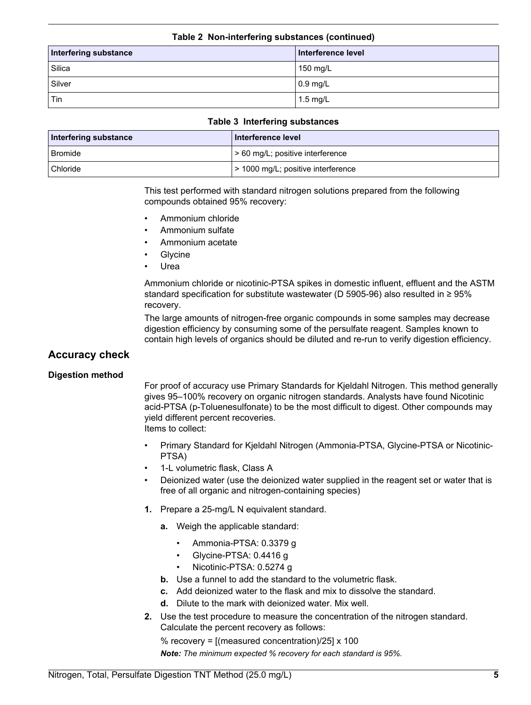#### **Table 2 Non-interfering substances (continued)**

<span id="page-4-0"></span>

| Interfering substance | Interference level |
|-----------------------|--------------------|
| Silica                | 150 mg/L           |
| Silver                | $\vert$ 0.9 mg/L   |
| Tin                   | $1.5 \text{ mg/L}$ |

#### **Table 3 Interfering substances**

| Interfering substance | Interference level                 |
|-----------------------|------------------------------------|
| <b>Bromide</b>        | l > 60 mg/L; positive interference |
| Chloride              | > 1000 mg/L; positive interference |

This test performed with standard nitrogen solutions prepared from the following compounds obtained 95% recovery:

- Ammonium chloride
- Ammonium sulfate
- Ammonium acetate
- **Glycine**
- **Urea**

Ammonium chloride or nicotinic-PTSA spikes in domestic influent, effluent and the ASTM standard specification for substitute wastewater (D 5905-96) also resulted in ≥ 95% recovery.

The large amounts of nitrogen-free organic compounds in some samples may decrease digestion efficiency by consuming some of the persulfate reagent. Samples known to contain high levels of organics should be diluted and re-run to verify digestion efficiency.

## **Accuracy check**

#### **Digestion method**

For proof of accuracy use Primary Standards for Kjeldahl Nitrogen. This method generally gives 95–100% recovery on organic nitrogen standards. Analysts have found Nicotinic acid-PTSA (p-Toluenesulfonate) to be the most difficult to digest. Other compounds may yield different percent recoveries.

Items to collect:

- Primary Standard for Kjeldahl Nitrogen (Ammonia-PTSA, Glycine-PTSA or Nicotinic-PTSA)
- 1-L volumetric flask, Class A
- Deionized water (use the deionized water supplied in the reagent set or water that is free of all organic and nitrogen-containing species)
- **1.** Prepare a 25-mg/L N equivalent standard.
	- **a.** Weigh the applicable standard:
		- Ammonia-PTSA: 0.3379 g
		- Glycine-PTSA: 0.4416 g
		- Nicotinic-PTSA: 0.5274 g
	- **b.** Use a funnel to add the standard to the volumetric flask.
	- **c.** Add deionized water to the flask and mix to dissolve the standard.
	- **d.** Dilute to the mark with deionized water. Mix well.
- **2.** Use the test procedure to measure the concentration of the nitrogen standard. Calculate the percent recovery as follows:

% recovery =  $[$ (measured concentration)/25 $] \times 100$ 

*Note: The minimum expected % recovery for each standard is 95%.*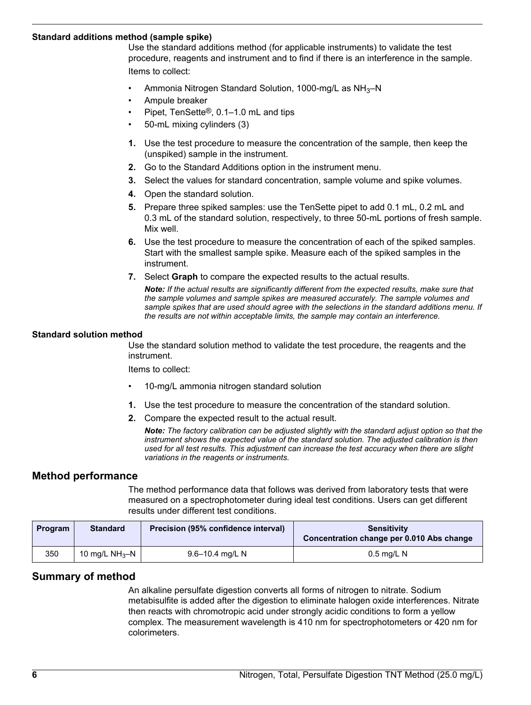#### **Standard additions method (sample spike)**

Use the standard additions method (for applicable instruments) to validate the test procedure, reagents and instrument and to find if there is an interference in the sample. Items to collect:

- Ammonia Nitrogen Standard Solution, 1000-mg/L as NH<sub>3</sub>-N
- Ampule breaker
- Pipet, TenSette®, 0.1–1.0 mL and tips
- 50-mL mixing cylinders (3)
- **1.** Use the test procedure to measure the concentration of the sample, then keep the (unspiked) sample in the instrument.
- **2.** Go to the Standard Additions option in the instrument menu.
- **3.** Select the values for standard concentration, sample volume and spike volumes.
- **4.** Open the standard solution.
- **5.** Prepare three spiked samples: use the TenSette pipet to add 0.1 mL, 0.2 mL and 0.3 mL of the standard solution, respectively, to three 50-mL portions of fresh sample. Mix well.
- **6.** Use the test procedure to measure the concentration of each of the spiked samples. Start with the smallest sample spike. Measure each of the spiked samples in the instrument.
- **7.** Select **Graph** to compare the expected results to the actual results.

*Note: If the actual results are significantly different from the expected results, make sure that the sample volumes and sample spikes are measured accurately. The sample volumes and sample spikes that are used should agree with the selections in the standard additions menu. If the results are not within acceptable limits, the sample may contain an interference.*

#### **Standard solution method**

Use the standard solution method to validate the test procedure, the reagents and the instrument.

Items to collect:

- 10-mg/L ammonia nitrogen standard solution
- **1.** Use the test procedure to measure the concentration of the standard solution.
- **2.** Compare the expected result to the actual result.

*Note: The factory calibration can be adjusted slightly with the standard adjust option so that the instrument shows the expected value of the standard solution. The adjusted calibration is then used for all test results. This adjustment can increase the test accuracy when there are slight variations in the reagents or instruments.*

#### **Method performance**

The method performance data that follows was derived from laboratory tests that were measured on a spectrophotometer during ideal test conditions. Users can get different results under different test conditions.

| Program | <b>Standard</b>  | Precision (95% confidence interval) | <b>Sensitivity</b><br>Concentration change per 0.010 Abs change |
|---------|------------------|-------------------------------------|-----------------------------------------------------------------|
| 350     | 10 mg/L $NH_3-N$ | 9.6–10.4 mg/L N                     | $0.5$ mg/L N                                                    |

#### **Summary of method**

An alkaline persulfate digestion converts all forms of nitrogen to nitrate. Sodium metabisulfite is added after the digestion to eliminate halogen oxide interferences. Nitrate then reacts with chromotropic acid under strongly acidic conditions to form a yellow complex. The measurement wavelength is 410 nm for spectrophotometers or 420 nm for colorimeters.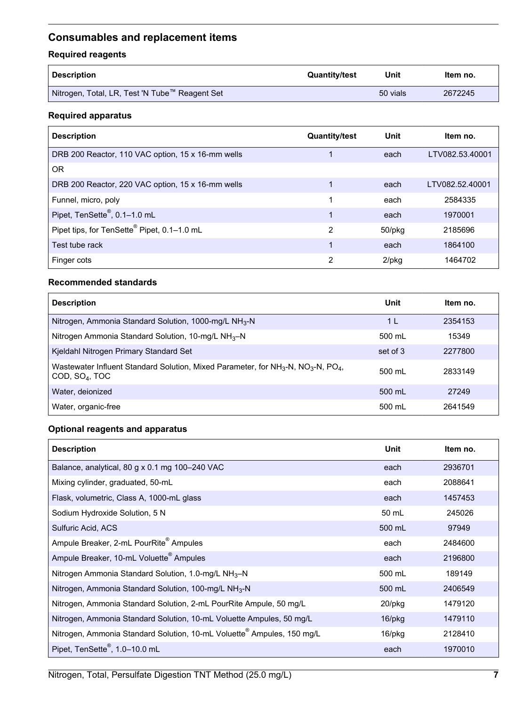## <span id="page-6-0"></span>**Consumables and replacement items**

## **Required reagents**

| Description                                      | <b>Quantity/test</b> | Unit     | ltem no. |
|--------------------------------------------------|----------------------|----------|----------|
| I Nitrogen, Total, LR, Test 'N Tube™ Reagent Set |                      | 50 vials | 2672245  |

## **Required apparatus**

| <b>Description</b>                                | <b>Quantity/test</b> | Unit     | Item no.        |
|---------------------------------------------------|----------------------|----------|-----------------|
| DRB 200 Reactor, 110 VAC option, 15 x 16-mm wells |                      | each     | LTV082.53.40001 |
| 0R                                                |                      |          |                 |
| DRB 200 Reactor, 220 VAC option, 15 x 16-mm wells |                      | each     | LTV082.52.40001 |
| Funnel, micro, poly                               |                      | each     | 2584335         |
| Pipet, TenSette <sup>®</sup> , 0.1-1.0 mL         | 1                    | each     | 1970001         |
| Pipet tips, for TenSette® Pipet, 0.1-1.0 mL       | 2                    | 50/pkg   | 2185696         |
| Test tube rack                                    |                      | each     | 1864100         |
| Finger cots                                       | 2                    | $2$ /pkg | 1464702         |

#### **Recommended standards**

| <b>Description</b>                                                                                                                        | Unit     | Item no. |
|-------------------------------------------------------------------------------------------------------------------------------------------|----------|----------|
| Nitrogen, Ammonia Standard Solution, 1000-mg/L NH <sub>3</sub> -N                                                                         | 1 L      | 2354153  |
| Nitrogen Ammonia Standard Solution, 10-mg/L NH <sub>3</sub> -N                                                                            | 500 mL   | 15349    |
| Kjeldahl Nitrogen Primary Standard Set                                                                                                    | set of 3 | 2277800  |
| Wastewater Influent Standard Solution, Mixed Parameter, for $NH3-N$ , NO <sub>3</sub> -N, PO <sub>4</sub> ,<br>COD, SO <sub>4</sub> , TOC | 500 ml   | 2833149  |
| Water, deionized                                                                                                                          | 500 mL   | 27249    |
| Water, organic-free                                                                                                                       | 500 mL   | 2641549  |

## **Optional reagents and apparatus**

| <b>Description</b>                                                                 | <b>Unit</b> | Item no. |
|------------------------------------------------------------------------------------|-------------|----------|
| Balance, analytical, 80 g x 0.1 mg 100-240 VAC                                     | each        | 2936701  |
| Mixing cylinder, graduated, 50-mL                                                  | each        | 2088641  |
| Flask, volumetric, Class A, 1000-mL glass                                          | each        | 1457453  |
| Sodium Hydroxide Solution, 5 N                                                     | 50 mL       | 245026   |
| Sulfuric Acid, ACS                                                                 | 500 mL      | 97949    |
| Ampule Breaker, 2-mL PourRite <sup>®</sup> Ampules                                 | each        | 2484600  |
| Ampule Breaker, 10-mL Voluette <sup>®</sup> Ampules                                | each        | 2196800  |
| Nitrogen Ammonia Standard Solution, 1.0-mg/L NH <sub>3</sub> -N                    | 500 mL      | 189149   |
| Nitrogen, Ammonia Standard Solution, 100-mg/L NH <sub>3</sub> -N                   | 500 mL      | 2406549  |
| Nitrogen, Ammonia Standard Solution, 2-mL PourRite Ampule, 50 mg/L                 | $20$ /pkg   | 1479120  |
| Nitrogen, Ammonia Standard Solution, 10-mL Voluette Ampules, 50 mg/L               | 16/pkg      | 1479110  |
| Nitrogen, Ammonia Standard Solution, 10-mL Voluette <sup>®</sup> Ampules, 150 mg/L | 16/pkg      | 2128410  |
| Pipet, TenSette®, 1.0-10.0 mL                                                      | each        | 1970010  |